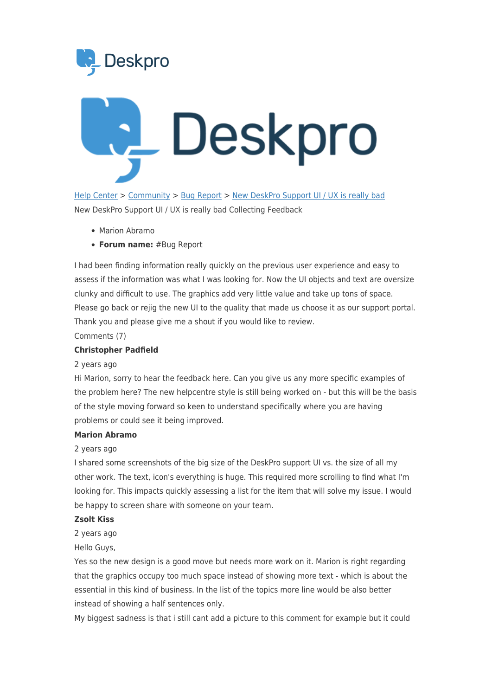



[Help Center](https://support.deskpro.com/mt-MT) > [Community](https://support.deskpro.com/mt-MT/community) > [Bug Report](https://support.deskpro.com/mt-MT/community/browse/type-3/view-list/viewmode-compact) > [New DeskPro Support UI / UX is really bad](https://support.deskpro.com/mt-MT/community/view/new-deskpro-support-ui-ux-is-really-bad) New DeskPro Support UI / UX is really bad Collecting Feedback

- Marion Abramo
- **Forum name:** #Bug Report

I had been finding information really quickly on the previous user experience and easy to assess if the information was what I was looking for. Now the UI objects and text are oversize clunky and difficult to use. The graphics add very little value and take up tons of space. Please go back or rejig the new UI to the quality that made us choose it as our support portal. Thank you and please give me a shout if you would like to review.

Comments (7)

# **Christopher Padfield**

## 2 years ago

Hi Marion, sorry to hear the feedback here. Can you give us any more specific examples of the problem here? The new helpcentre style is still being worked on - but this will be the basis of the style moving forward so keen to understand specifically where you are having problems or could see it being improved.

# **Marion Abramo**

# 2 years ago

I shared some screenshots of the big size of the DeskPro support UI vs. the size of all my other work. The text, icon's everything is huge. This required more scrolling to find what I'm looking for. This impacts quickly assessing a list for the item that will solve my issue. I would be happy to screen share with someone on your team.

#### **Zsolt Kiss**

2 years ago

Hello Guys,

Yes so the new design is a good move but needs more work on it. Marion is right regarding that the graphics occupy too much space instead of showing more text - which is about the essential in this kind of business. In the list of the topics more line would be also better instead of showing a half sentences only.

My biggest sadness is that i still cant add a picture to this comment for example but it could